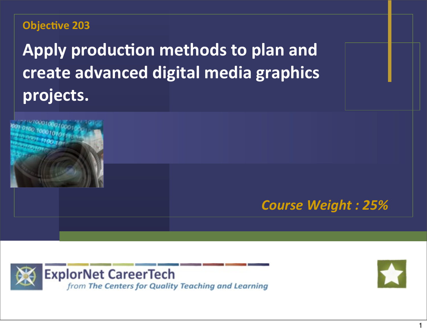#### **Objective 203**

Apply production methods to plan and **create advanced digital media graphics projects.**







1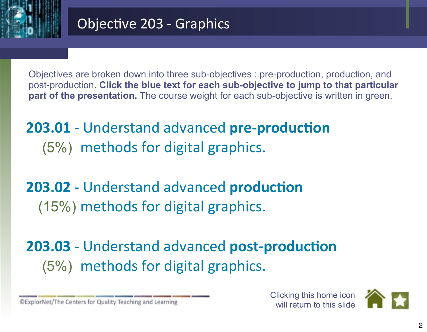

Objectives are broken down into three sub-objectives : pre-production, production, and post-production. **Click the blue text for each sub-objective to jump to that particular part of the presentation.** The course weight for each sub-objective is written in green.

**203.01** - Understand advanced pre-production (5%) methods for digital graphics.

**203.02** - Understand advanced **production** (15%) methods for digital graphics.

**203.03** - Understand advanced **post-production** (5%) methods for digital graphics.

©ExplorNet/The Centers for Quality Teaching and Learning

Clicking this home icon will return to this slide

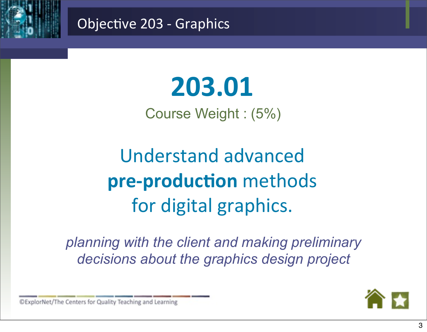<span id="page-2-0"></span>

# **203.01**

Course Weight : (5%)

Understand advanced **pre-production** methods for digital graphics.

*planning with the client and making preliminary decisions about the graphics design project*

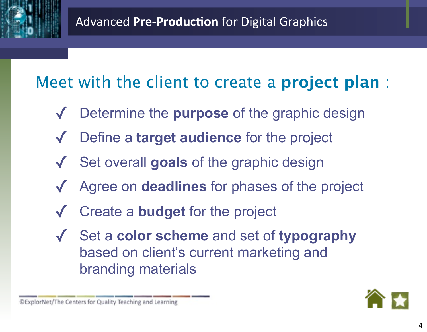### Meet with the client to create a **project plan** :

- Determine the **purpose** of the graphic design
- Define a **target audience** for the project
- ✓ Set overall **goals** of the graphic design
- Agree on **deadlines** for phases of the project
- Create a **budget** for the project
- ✓ Set a **color scheme** and set of **typography** based on client's current marketing and branding materials

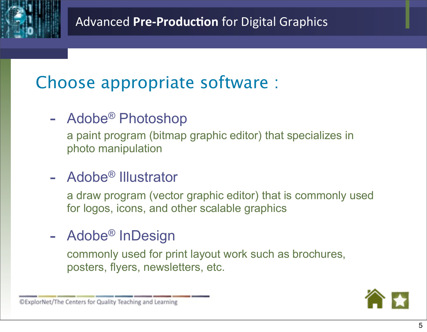### Choose appropriate software :

- Adobe® Photoshop

a paint program (bitmap graphic editor) that specializes in photo manipulation

### - Adobe® Illustrator

a draw program (vector graphic editor) that is commonly used for logos, icons, and other scalable graphics

### - Adobe<sup>®</sup> InDesign

commonly used for print layout work such as brochures, posters, flyers, newsletters, etc.

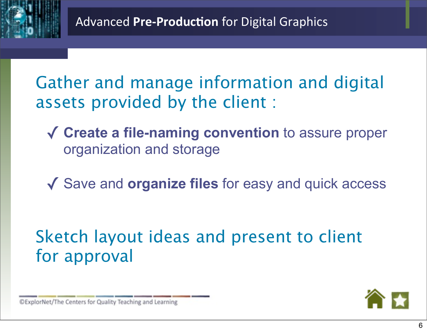Gather and manage information and digital assets provided by the client :

- ✓ **Create a file-naming convention** to assure proper organization and storage
- ✓ Save and **organize files** for easy and quick access

### Sketch layout ideas and present to client for approval

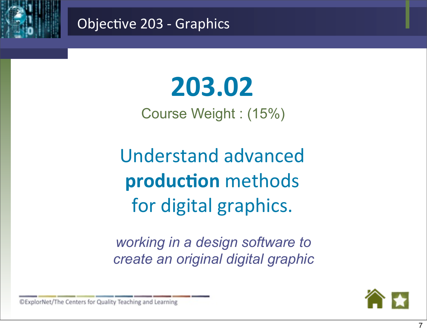<span id="page-6-0"></span>

# **203.02**

Course Weight : (15%)

Understand advanced **production** methods for digital graphics.

*working in a design software to create an original digital graphic*

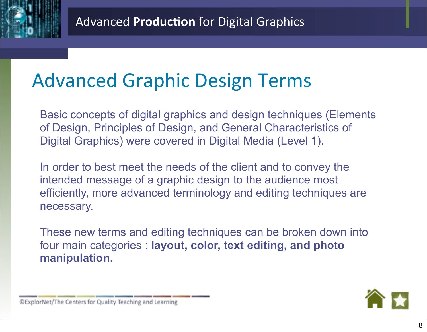### Advanced Graphic Design Terms

Basic concepts of digital graphics and design techniques (Elements of Design, Principles of Design, and General Characteristics of Digital Graphics) were covered in Digital Media (Level 1).

In order to best meet the needs of the client and to convey the intended message of a graphic design to the audience most efficiently, more advanced terminology and editing techniques are necessary.

These new terms and editing techniques can be broken down into four main categories : **layout, color, text editing, and photo manipulation.**

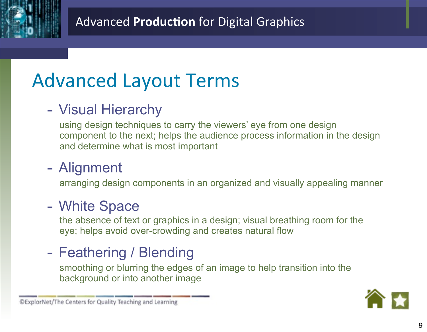

# Advanced Layout Terms

### - Visual Hierarchy

using design techniques to carry the viewers' eye from one design component to the next; helps the audience process information in the design and determine what is most important

### - Alignment

arranging design components in an organized and visually appealing manner

### - White Space

the absence of text or graphics in a design; visual breathing room for the eye; helps avoid over-crowding and creates natural flow

### - Feathering / Blending

smoothing or blurring the edges of an image to help transition into the background or into another image

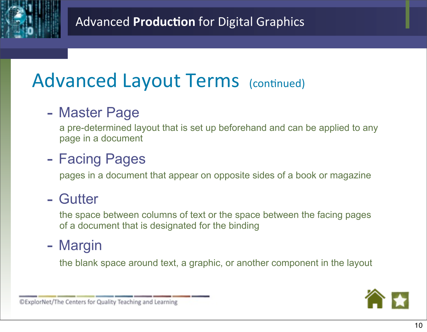

## Advanced Layout Terms (continued)

### - Master Page

a pre-determined layout that is set up beforehand and can be applied to any page in a document

### - Facing Pages

pages in a document that appear on opposite sides of a book or magazine

### - Gutter

the space between columns of text or the space between the facing pages of a document that is designated for the binding

### - Margin

the blank space around text, a graphic, or another component in the layout

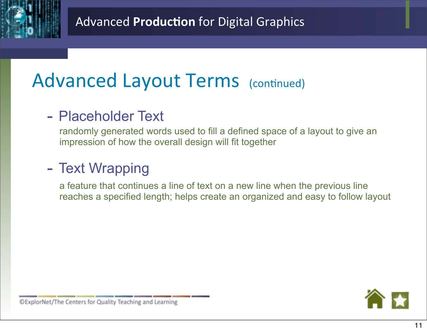

## Advanced Layout Terms (continued)

### - Placeholder Text

randomly generated words used to fill a defined space of a layout to give an impression of how the overall design will fit together

### - Text Wrapping

a feature that continues a line of text on a new line when the previous line reaches a specified length; helps create an organized and easy to follow layout

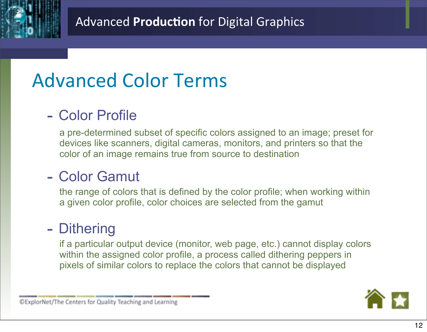

## Advanced Color Terms

### - Color Profile

a pre-determined subset of specific colors assigned to an image; preset for devices like scanners, digital cameras, monitors, and printers so that the color of an image remains true from source to destination

#### - Color Gamut

the range of colors that is defined by the color profile; when working within a given color profile, color choices are selected from the gamut

#### - Dithering

if a particular output device (monitor, web page, etc.) cannot display colors within the assigned color profile, a process called dithering peppers in pixels of similar colors to replace the colors that cannot be displayed

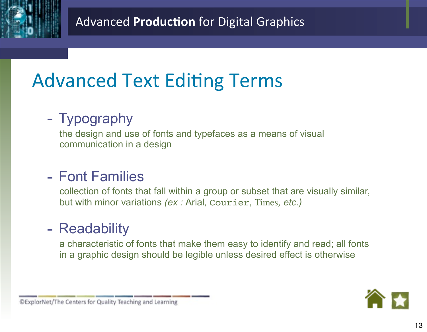

# **Advanced Text Editing Terms**

### - Typography

the design and use of fonts and typefaces as a means of visual communication in a design

#### - Font Families

collection of fonts that fall within a group or subset that are visually similar, but with minor variations *(ex :* Arial*,* Courier*,* Times*, etc.)*

#### - Readability

a characteristic of fonts that make them easy to identify and read; all fonts in a graphic design should be legible unless desired effect is otherwise

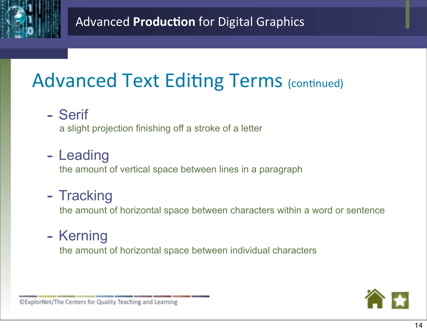

# **Advanced Text Editing Terms (continued)**

- Serif

a slight projection finishing off a stroke of a letter

### - Leading

the amount of vertical space between lines in a paragraph

### - Tracking

the amount of horizontal space between characters within a word or sentence

### - Kerning

the amount of horizontal space between individual characters

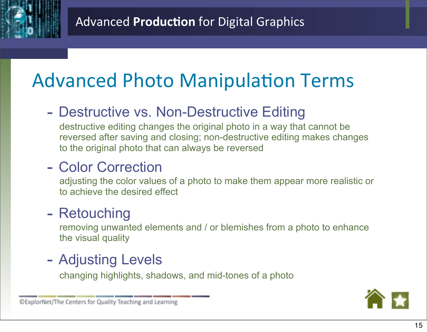# **Advanced Photo Manipulation Terms**

### - Destructive vs. Non-Destructive Editing

destructive editing changes the original photo in a way that cannot be reversed after saving and closing; non-destructive editing makes changes to the original photo that can always be reversed

### - Color Correction

adjusting the color values of a photo to make them appear more realistic or to achieve the desired effect

### - Retouching

removing unwanted elements and / or blemishes from a photo to enhance the visual quality

### - Adjusting Levels

changing highlights, shadows, and mid-tones of a photo

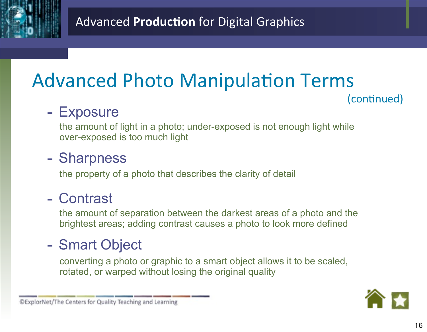

# **Advanced Photo Manipulation Terms**

(continued)

### - Exposure

the amount of light in a photo; under-exposed is not enough light while over-exposed is too much light

#### - Sharpness

the property of a photo that describes the clarity of detail

### - Contrast

the amount of separation between the darkest areas of a photo and the brightest areas; adding contrast causes a photo to look more defined

### - Smart Object

converting a photo or graphic to a smart object allows it to be scaled, rotated, or warped without losing the original quality

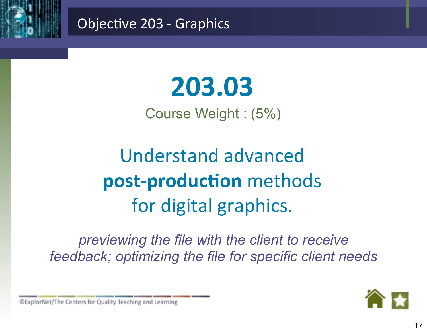<span id="page-16-0"></span>

# **203.03**

Course Weight : (5%)

Understand advanced **post-production** methods for digital graphics.

*previewing the file with the client to receive feedback; optimizing the file for specific client needs*

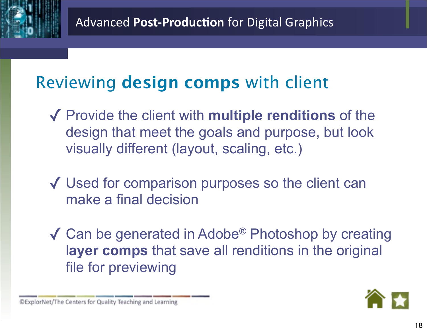### Reviewing **design comps** with client

- ✓ Provide the client with **multiple renditions** of the design that meet the goals and purpose, but look visually different (layout, scaling, etc.)
- ✓ Used for comparison purposes so the client can make a final decision
- $\sqrt{\phantom{a}}$  Can be generated in Adobe<sup>®</sup> Photoshop by creating l**ayer comps** that save all renditions in the original file for previewing

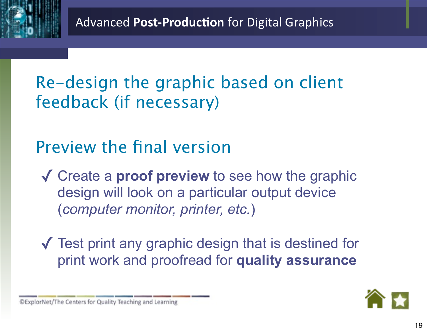Re-design the graphic based on client feedback (if necessary)

### Preview the final version

✓ Create a **proof preview** to see how the graphic design will look on a particular output device (*computer monitor, printer, etc.*)

✓ Test print any graphic design that is destined for print work and proofread for **quality assurance**